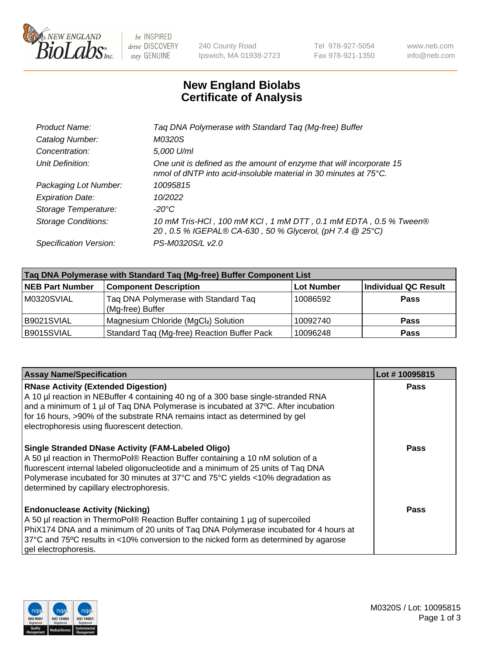

 $be$  INSPIRED drive DISCOVERY stay GENUINE

240 County Road Ipswich, MA 01938-2723 Tel 978-927-5054 Fax 978-921-1350 www.neb.com info@neb.com

## **New England Biolabs Certificate of Analysis**

| Taq DNA Polymerase with Standard Taq (Mg-free) Buffer                                                                                    |
|------------------------------------------------------------------------------------------------------------------------------------------|
| M0320S                                                                                                                                   |
| 5,000 U/ml                                                                                                                               |
| One unit is defined as the amount of enzyme that will incorporate 15<br>nmol of dNTP into acid-insoluble material in 30 minutes at 75°C. |
| 10095815                                                                                                                                 |
| 10/2022                                                                                                                                  |
| $-20^{\circ}$ C                                                                                                                          |
| 10 mM Tris-HCl, 100 mM KCl, 1 mM DTT, 0.1 mM EDTA, 0.5 % Tween®<br>20, 0.5 % IGEPAL® CA-630, 50 % Glycerol, (pH 7.4 @ 25°C)              |
| PS-M0320S/L v2.0                                                                                                                         |
|                                                                                                                                          |

| Taq DNA Polymerase with Standard Taq (Mg-free) Buffer Component List |                                                          |                   |                             |  |  |
|----------------------------------------------------------------------|----------------------------------------------------------|-------------------|-----------------------------|--|--|
| <b>NEB Part Number</b>                                               | <b>Component Description</b>                             | <b>Lot Number</b> | <b>Individual QC Result</b> |  |  |
| M0320SVIAL                                                           | Tag DNA Polymerase with Standard Tag<br>(Mg-free) Buffer | 10086592          | <b>Pass</b>                 |  |  |
| B9021SVIAL                                                           | Magnesium Chloride (MgCl2) Solution                      | 10092740          | Pass                        |  |  |
| B9015SVIAL                                                           | Standard Taq (Mg-free) Reaction Buffer Pack              | 10096248          | <b>Pass</b>                 |  |  |

| <b>Assay Name/Specification</b>                                                                                                                                                                                                                                                                                                                                  | Lot #10095815 |
|------------------------------------------------------------------------------------------------------------------------------------------------------------------------------------------------------------------------------------------------------------------------------------------------------------------------------------------------------------------|---------------|
| <b>RNase Activity (Extended Digestion)</b><br>A 10 µl reaction in NEBuffer 4 containing 40 ng of a 300 base single-stranded RNA<br>and a minimum of 1 µl of Taq DNA Polymerase is incubated at 37°C. After incubation<br>for 16 hours, >90% of the substrate RNA remains intact as determined by gel<br>electrophoresis using fluorescent detection.             | <b>Pass</b>   |
| <b>Single Stranded DNase Activity (FAM-Labeled Oligo)</b><br>A 50 µl reaction in ThermoPol® Reaction Buffer containing a 10 nM solution of a<br>fluorescent internal labeled oligonucleotide and a minimum of 25 units of Taq DNA<br>Polymerase incubated for 30 minutes at 37°C and 75°C yields <10% degradation as<br>determined by capillary electrophoresis. | Pass          |
| <b>Endonuclease Activity (Nicking)</b><br>A 50 µl reaction in ThermoPol® Reaction Buffer containing 1 µg of supercoiled<br>PhiX174 DNA and a minimum of 20 units of Taq DNA Polymerase incubated for 4 hours at<br>37°C and 75°C results in <10% conversion to the nicked form as determined by agarose<br>gel electrophoresis.                                  | Pass          |

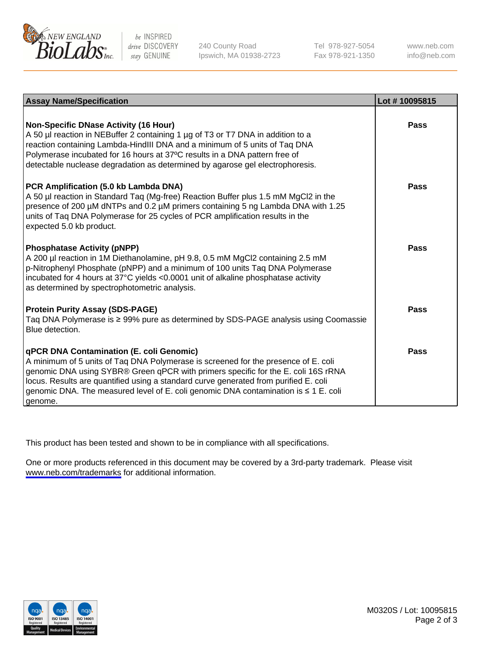

be INSPIRED drive DISCOVERY stay GENUINE

240 County Road Ipswich, MA 01938-2723 Tel 978-927-5054 Fax 978-921-1350

www.neb.com info@neb.com

| <b>Assay Name/Specification</b>                                                                                                                                                                                                                                                                                                                                                                                           | Lot #10095815 |
|---------------------------------------------------------------------------------------------------------------------------------------------------------------------------------------------------------------------------------------------------------------------------------------------------------------------------------------------------------------------------------------------------------------------------|---------------|
| Non-Specific DNase Activity (16 Hour)<br>A 50 µl reaction in NEBuffer 2 containing 1 µg of T3 or T7 DNA in addition to a<br>reaction containing Lambda-HindIII DNA and a minimum of 5 units of Taq DNA<br>Polymerase incubated for 16 hours at 37°C results in a DNA pattern free of<br>detectable nuclease degradation as determined by agarose gel electrophoresis.                                                     | Pass          |
| PCR Amplification (5.0 kb Lambda DNA)<br>A 50 µl reaction in Standard Taq (Mg-free) Reaction Buffer plus 1.5 mM MgCl2 in the<br>presence of 200 µM dNTPs and 0.2 µM primers containing 5 ng Lambda DNA with 1.25<br>units of Tag DNA Polymerase for 25 cycles of PCR amplification results in the<br>expected 5.0 kb product.                                                                                             | Pass          |
| <b>Phosphatase Activity (pNPP)</b><br>A 200 µl reaction in 1M Diethanolamine, pH 9.8, 0.5 mM MgCl2 containing 2.5 mM<br>p-Nitrophenyl Phosphate (pNPP) and a minimum of 100 units Taq DNA Polymerase<br>incubated for 4 hours at 37°C yields <0.0001 unit of alkaline phosphatase activity<br>as determined by spectrophotometric analysis.                                                                               | Pass          |
| <b>Protein Purity Assay (SDS-PAGE)</b><br>Taq DNA Polymerase is ≥ 99% pure as determined by SDS-PAGE analysis using Coomassie<br>Blue detection.                                                                                                                                                                                                                                                                          | <b>Pass</b>   |
| <b>qPCR DNA Contamination (E. coli Genomic)</b><br>A minimum of 5 units of Taq DNA Polymerase is screened for the presence of E. coli<br>genomic DNA using SYBR® Green qPCR with primers specific for the E. coli 16S rRNA<br>locus. Results are quantified using a standard curve generated from purified E. coli<br>genomic DNA. The measured level of E. coli genomic DNA contamination is $\leq 1$ E. coli<br>genome. | Pass          |

This product has been tested and shown to be in compliance with all specifications.

One or more products referenced in this document may be covered by a 3rd-party trademark. Please visit <www.neb.com/trademarks>for additional information.